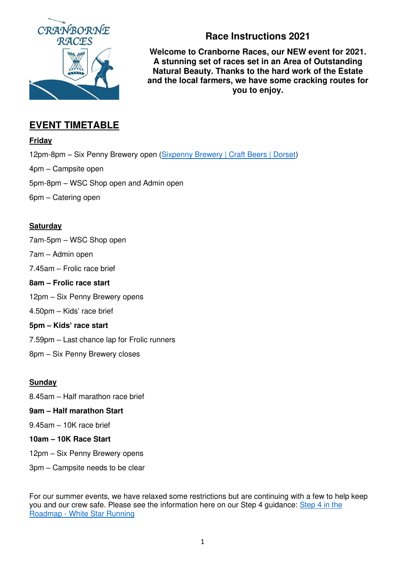

# **Race Instructions 2021**

**Welcome to Cranborne Races, our NEW event for 2021. A stunning set of races set in an Area of Outstanding Natural Beauty. Thanks to the hard work of the Estate and the local farmers, we have some cracking routes for you to enjoy.** 

# **EVENT TIMETABLE**

### **Friday**

12pm-8pm – Six Penny Brewery open [\(Sixpenny Brewery | Craft Beers | Dorset\)](https://sixpennybrewery.co.uk/) 4pm – Campsite open 5pm-8pm – WSC Shop open and Admin open 6pm – Catering open

# **Saturday**

7am-5pm – WSC Shop open

7am – Admin open

7.45am – Frolic race brief

### **8am – Frolic race start**

12pm – Six Penny Brewery opens

4.50pm – Kids' race brief

## **5pm – Kids' race start**

7.59pm – Last chance lap for Frolic runners

8pm – Six Penny Brewery closes

## **Sunday**

8.45am – Half marathon race brief

## **9am – Half marathon Start**

9.45am – 10K race brief

## **10am – 10K Race Start**

12pm – Six Penny Brewery opens

3pm – Campsite needs to be clear

For our summer events, we have relaxed some restrictions but are continuing with a few to help keep you and our crew safe. Please see the information here on our Step 4 guidance: Step 4 in the [Roadmap - White Star Running](https://whitestarrunning.co.uk/step-4-in-the-roadmap/)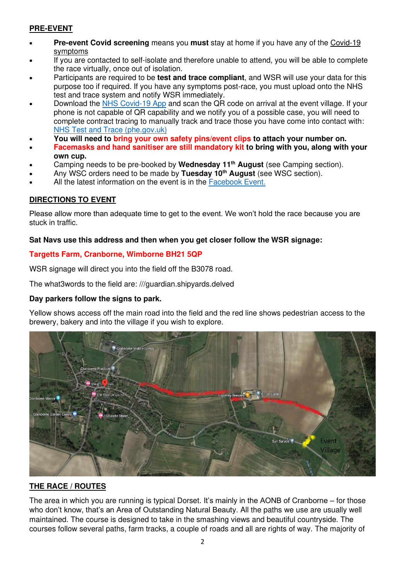## **PRE-EVENT**

- **Pre-event Covid screening** means you **must** stay at home if you have any of the [Covid-19](https://www.gov.uk/coronavirus?utm_campaign=coronavirus_grants&utm_medium=paid_searchl&utm_source=google&utm_content=keyword&gclid=Cj0KCQjwjPaCBhDkARIsAISZN7TEUsRRBGQFVuAaWHdd51NQqJC4iCQ7MMB1HEqgpVpkL_WgrJcgB0IaAhZ_EALw_wcB) [symptoms](https://www.gov.uk/coronavirus?utm_campaign=coronavirus_grants&utm_medium=paid_searchl&utm_source=google&utm_content=keyword&gclid=Cj0KCQjwjPaCBhDkARIsAISZN7TEUsRRBGQFVuAaWHdd51NQqJC4iCQ7MMB1HEqgpVpkL_WgrJcgB0IaAhZ_EALw_wcB)
- If you are contacted to self-isolate and therefore unable to attend, you will be able to complete the race virtually, once out of isolation.
- Participants are required to be **test and trace compliant**, and WSR will use your data for this purpose too if required. If you have any symptoms post-race, you must upload onto the NHS test and trace system and notify WSR immediately.
- Download the [NHS Covid-19 App](https://www.covid19.nhs.uk/?utm_campaign=coronavirus_grants&utm_medium=paid_searchl&utm_source=google&utm_content=keyword&gclid=Cj0KCQjw4cOEBhDMARIsAA3XDRjLd2Lx7RItHbRZ6RU8_hvRN4uxmf_kkE1QLfIkFaifuOj_ArgDm7gaAoN5EALw_wcB) and scan the QR code on arrival at the event village. If your phone is not capable of QR capability and we notify you of a possible case, you will need to complete contract tracing to manually track and trace those you have come into contact with: [NHS Test and Trace \(phe.gov.uk\)](https://contact-tracing.phe.gov.uk/)
- **You will need to bring your own safety pins/event clips to attach your number on.**
- **Facemasks and hand sanitiser are still mandatory kit to bring with you, along with your own cup.**
- Camping needs to be pre-booked by **Wednesday 11th August** (see Camping section).
- Any WSC orders need to be made by **Tuesday 10th August** (see WSC section).
- All the latest information on the event is in the [Facebook Event.](https://www.facebook.com/events/417631489557134)

### **DIRECTIONS TO EVENT**

Please allow more than adequate time to get to the event. We won't hold the race because you are stuck in traffic.

#### **Sat Navs use this address and then when you get closer follow the WSR signage:**

#### **Targetts Farm, Cranborne, Wimborne BH21 5QP**

WSR signage will direct you into the field off the B3078 road.

The what3words to the field are: ///guardian.shipyards.delved

#### **Day parkers follow the signs to park.**

Yellow shows access off the main road into the field and the red line shows pedestrian access to the brewery, bakery and into the village if you wish to explore.



## **THE RACE / ROUTES**

The area in which you are running is typical Dorset. It's mainly in the AONB of Cranborne – for those who don't know, that's an Area of Outstanding Natural Beauty. All the paths we use are usually well maintained. The course is designed to take in the smashing views and beautiful countryside. The courses follow several paths, farm tracks, a couple of roads and all are rights of way. The majority of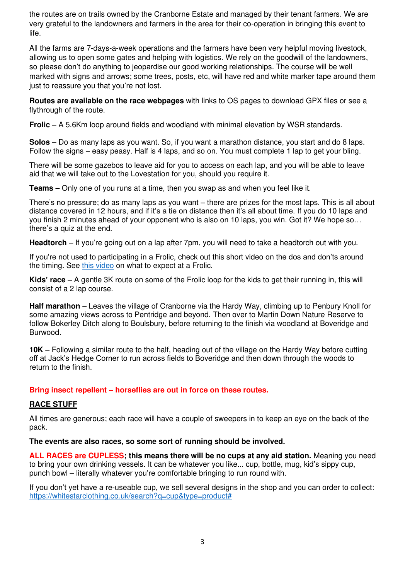the routes are on trails owned by the Cranborne Estate and managed by their tenant farmers. We are very grateful to the landowners and farmers in the area for their co-operation in bringing this event to life.

All the farms are 7-days-a-week operations and the farmers have been very helpful moving livestock, allowing us to open some gates and helping with logistics. We rely on the goodwill of the landowners, so please don't do anything to jeopardise our good working relationships. The course will be well marked with signs and arrows; some trees, posts, etc, will have red and white marker tape around them just to reassure you that you're not lost.

**Routes are available on the race webpages** with links to OS pages to download GPX files or see a flythrough of the route.

**Frolic** – A 5.6Km loop around fields and woodland with minimal elevation by WSR standards.

**Solos** – Do as many laps as you want. So, if you want a marathon distance, you start and do 8 laps. Follow the signs – easy peasy. Half is 4 laps, and so on. You must complete 1 lap to get your bling.

There will be some gazebos to leave aid for you to access on each lap, and you will be able to leave aid that we will take out to the Lovestation for you, should you require it.

**Teams –** Only one of you runs at a time, then you swap as and when you feel like it.

There's no pressure; do as many laps as you want – there are prizes for the most laps. This is all about distance covered in 12 hours, and if it's a tie on distance then it's all about time. If you do 10 laps and you finish 2 minutes ahead of your opponent who is also on 10 laps, you win. Got it? We hope so… there's a quiz at the end.

**Headtorch** – If you're going out on a lap after 7pm, you will need to take a headtorch out with you.

If you're not used to participating in a Frolic, check out this short video on the dos and don'ts around the timing. See [this video](https://studio.youtube.com/video/9WQW1p9gtUE/) on what to expect at a Frolic.

**Kids' race** – A gentle 3K route on some of the Frolic loop for the kids to get their running in, this will consist of a 2 lap course.

**Half marathon** – Leaves the village of Cranborne via the Hardy Way, climbing up to Penbury Knoll for some amazing views across to Pentridge and beyond. Then over to Martin Down Nature Reserve to follow Bokerley Ditch along to Boulsbury, before returning to the finish via woodland at Boveridge and Burwood.

**10K** – Following a similar route to the half, heading out of the village on the Hardy Way before cutting off at Jack's Hedge Corner to run across fields to Boveridge and then down through the woods to return to the finish.

**Bring insect repellent – horseflies are out in force on these routes.** 

#### **RACE STUFF**

All times are generous; each race will have a couple of sweepers in to keep an eye on the back of the pack.

**The events are also races, so some sort of running should be involved.**

**ALL RACES are CUPLESS; this means there will be no cups at any aid station.** Meaning you need to bring your own drinking vessels. It can be whatever you like... cup, bottle, mug, kid's sippy cup, punch bowl – literally whatever you're comfortable bringing to run round with.

If you don't yet have a re-useable cup, we sell several designs in the shop and you can order to collect: [https://whitestarclothing.co.uk/search?q=cup&type=product#](https://whitestarclothing.co.uk/search?q=cup&type=product)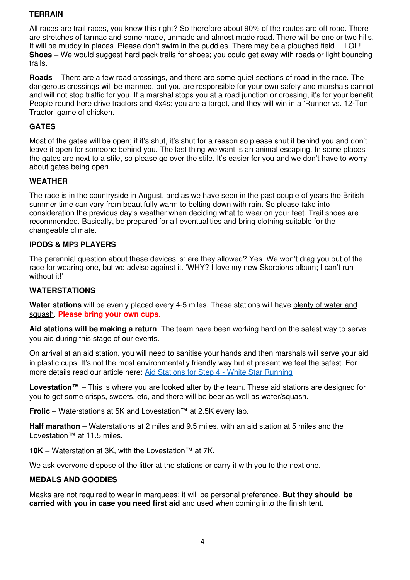### **TERRAIN**

All races are trail races, you knew this right? So therefore about 90% of the routes are off road. There are stretches of tarmac and some made, unmade and almost made road. There will be one or two hills. It will be muddy in places. Please don't swim in the puddles. There may be a ploughed field… LOL! **Shoes** – We would suggest hard pack trails for shoes; you could get away with roads or light bouncing trails.

**Roads** – There are a few road crossings, and there are some quiet sections of road in the race. The dangerous crossings will be manned, but you are responsible for your own safety and marshals cannot and will not stop traffic for you. If a marshal stops you at a road junction or crossing, it's for your benefit. People round here drive tractors and 4x4s; you are a target, and they will win in a 'Runner vs. 12-Ton Tractor' game of chicken.

#### **GATES**

Most of the gates will be open; if it's shut, it's shut for a reason so please shut it behind you and don't leave it open for someone behind you. The last thing we want is an animal escaping. In some places the gates are next to a stile, so please go over the stile. It's easier for you and we don't have to worry about gates being open.

#### **WEATHER**

The race is in the countryside in August, and as we have seen in the past couple of years the British summer time can vary from beautifully warm to belting down with rain. So please take into consideration the previous day's weather when deciding what to wear on your feet. Trail shoes are recommended. Basically, be prepared for all eventualities and bring clothing suitable for the changeable climate.

#### **IPODS & MP3 PLAYERS**

The perennial question about these devices is: are they allowed? Yes. We won't drag you out of the race for wearing one, but we advise against it. 'WHY? I love my new Skorpions album; I can't run without it!'

#### **WATERSTATIONS**

Water stations will be evenly placed every 4-5 miles. These stations will have plenty of water and squash. **Please bring your own cups.**

**Aid stations will be making a return**. The team have been working hard on the safest way to serve you aid during this stage of our events.

On arrival at an aid station, you will need to sanitise your hands and then marshals will serve your aid in plastic cups. It's not the most environmentally friendly way but at present we feel the safest. For more details read our article here: [Aid Stations for Step 4 - White Star Running](https://whitestarrunning.co.uk/aid-stations-for-step-4/) 

**Lovestation™** – This is where you are looked after by the team. These aid stations are designed for you to get some crisps, sweets, etc, and there will be beer as well as water/squash.

**Frolic** – Waterstations at 5K and Lovestation™ at 2.5K every lap.

**Half marathon** – Waterstations at 2 miles and 9.5 miles, with an aid station at 5 miles and the Lovestation™ at 11.5 miles.

**10K** – Waterstation at 3K, with the Lovestation™ at 7K.

We ask everyone dispose of the litter at the stations or carry it with you to the next one.

#### **MEDALS AND GOODIES**

Masks are not required to wear in marquees; it will be personal preference. **But they should be carried with you in case you need first aid** and used when coming into the finish tent.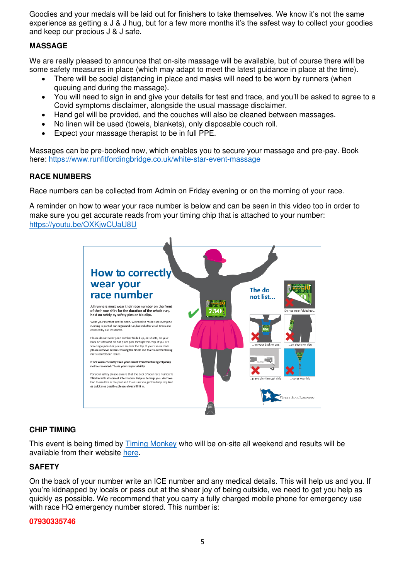Goodies and your medals will be laid out for finishers to take themselves. We know it's not the same experience as getting a J & J hug, but for a few more months it's the safest way to collect your goodies and keep our precious J & J safe.

#### **MASSAGE**

We are really pleased to announce that on-site massage will be available, but of course there will be some safety measures in place (which may adapt to meet the latest guidance in place at the time).

- There will be social distancing in place and masks will need to be worn by runners (when queuing and during the massage).
- You will need to sign in and give your details for test and trace, and you'll be asked to agree to a Covid symptoms disclaimer, alongside the usual massage disclaimer.
- Hand gel will be provided, and the couches will also be cleaned between massages.
- No linen will be used (towels, blankets), only disposable couch roll.
- Expect your massage therapist to be in full PPE.

Massages can be pre-booked now, which enables you to secure your massage and pre-pay. Book here:<https://www.runfitfordingbridge.co.uk/white-star-event-massage>

#### **RACE NUMBERS**

Race numbers can be collected from Admin on Friday evening or on the morning of your race.

A reminder on how to wear your race number is below and can be seen in this video too in order to make sure you get accurate reads from your timing chip that is attached to your number: <https://youtu.be/OXKjwCUaU8U>



#### **CHIP TIMING**

This event is being timed by [Timing Monkey](https://timingmonkey.co.uk/) who will be on-site all weekend and results will be available from their website [here.](https://www.timingmonkey.co.uk/results-list/)

#### **SAFETY**

On the back of your number write an ICE number and any medical details. This will help us and you. If you're kidnapped by locals or pass out at the sheer joy of being outside, we need to get you help as quickly as possible. We recommend that you carry a fully charged mobile phone for emergency use with race HQ emergency number stored. This number is:

#### **07930335746**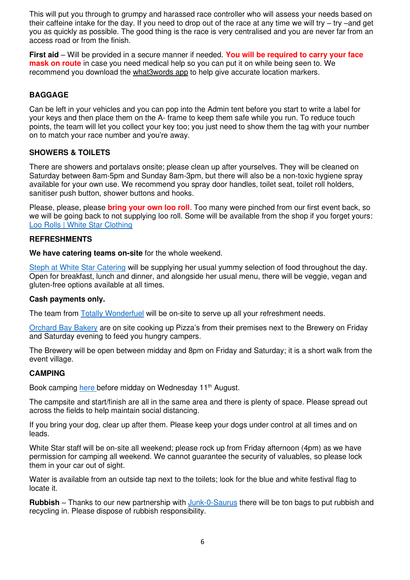This will put you through to grumpy and harassed race controller who will assess your needs based on their caffeine intake for the day. If you need to drop out of the race at any time we will try – try –and get you as quickly as possible. The good thing is the race is very centralised and you are never far from an access road or from the finish.

**First aid** – Will be provided in a secure manner if needed. **You will be required to carry your face mask on route** in case you need medical help so you can put it on while being seen to. We recommend you download the [what3words app](https://what3words.com/about) to help give accurate location markers.

### **BAGGAGE**

Can be left in your vehicles and you can pop into the Admin tent before you start to write a label for your keys and then place them on the A- frame to keep them safe while you run. To reduce touch points, the team will let you collect your key too; you just need to show them the tag with your number on to match your race number and you're away.

### **SHOWERS & TOILETS**

There are showers and portalavs onsite; please clean up after yourselves. They will be cleaned on Saturday between 8am-5pm and Sunday 8am-3pm, but there will also be a non-toxic hygiene spray available for your own use. We recommend you spray door handles, toilet seat, toilet roll holders, sanitiser push button, shower buttons and hooks.

Please, please, please **bring your own loo roll**. Too many were pinched from our first event back, so we will be going back to not supplying loo roll. Some will be available from the shop if you forget yours: [Loo Rolls | White Star Clothing](https://whitestarclothing.co.uk/products/loo-rolls-2) 

#### **REFRESHMENTS**

**We have catering teams on-site** for the whole weekend.

[Steph at White Star Catering](https://www.facebook.com/whitestar.starcatering) will be supplying her usual yummy selection of food throughout the day. Open for breakfast, lunch and dinner, and alongside her usual menu, there will be veggie, vegan and gluten-free options available at all times.

#### **Cash payments only.**

The team from [Totally Wonderfuel](https://www.facebook.com/search/top?q=totally%20wonderfuel) will be on-site to serve up all your refreshment needs.

[Orchard Bay Bakery](https://www.facebook.com/orchardbay) are on site cooking up Pizza's from their premises next to the Brewery on Friday and Saturday evening to feed you hungry campers.

The Brewery will be open between midday and 8pm on Friday and Saturday; it is a short walk from the event village.

#### **CAMPING**

Book camping [here b](https://whitestar.fullonsport.com/event/camping-for-wsr-event-2021/profile)efore midday on Wednesday 11<sup>th</sup> August.

The campsite and start/finish are all in the same area and there is plenty of space. Please spread out across the fields to help maintain social distancing.

If you bring your dog, clear up after them. Please keep your dogs under control at all times and on leads.

White Star staff will be on-site all weekend; please rock up from Friday afternoon (4pm) as we have permission for camping all weekend. We cannot guarantee the security of valuables, so please lock them in your car out of sight.

Water is available from an outside tap next to the toilets; look for the blue and white festival flag to locate it.

**Rubbish** – Thanks to our new partnership with [Junk-0-Saurus](https://www.facebook.com/junkOsaurus) there will be ton bags to put rubbish and recycling in. Please dispose of rubbish responsibility.